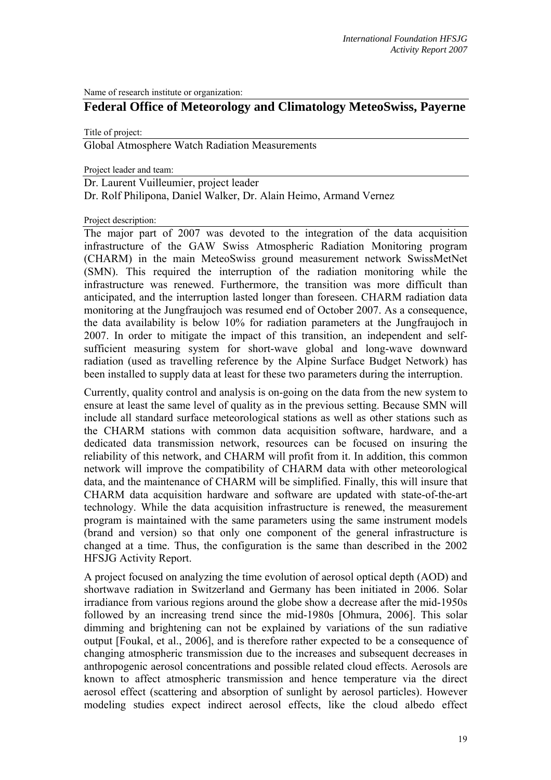Name of research institute or organization:

## **Federal Office of Meteorology and Climatology MeteoSwiss, Payerne**

Title of project:

Global Atmosphere Watch Radiation Measurements

Project leader and team:

Dr. Laurent Vuilleumier, project leader Dr. Rolf Philipona, Daniel Walker, Dr. Alain Heimo, Armand Vernez

Project description:

The major part of 2007 was devoted to the integration of the data acquisition infrastructure of the GAW Swiss Atmospheric Radiation Monitoring program (CHARM) in the main MeteoSwiss ground measurement network SwissMetNet (SMN). This required the interruption of the radiation monitoring while the infrastructure was renewed. Furthermore, the transition was more difficult than anticipated, and the interruption lasted longer than foreseen. CHARM radiation data monitoring at the Jungfraujoch was resumed end of October 2007. As a consequence, the data availability is below 10% for radiation parameters at the Jungfraujoch in 2007. In order to mitigate the impact of this transition, an independent and selfsufficient measuring system for short-wave global and long-wave downward radiation (used as travelling reference by the Alpine Surface Budget Network) has been installed to supply data at least for these two parameters during the interruption.

Currently, quality control and analysis is on-going on the data from the new system to ensure at least the same level of quality as in the previous setting. Because SMN will include all standard surface meteorological stations as well as other stations such as the CHARM stations with common data acquisition software, hardware, and a dedicated data transmission network, resources can be focused on insuring the reliability of this network, and CHARM will profit from it. In addition, this common network will improve the compatibility of CHARM data with other meteorological data, and the maintenance of CHARM will be simplified. Finally, this will insure that CHARM data acquisition hardware and software are updated with state-of-the-art technology. While the data acquisition infrastructure is renewed, the measurement program is maintained with the same parameters using the same instrument models (brand and version) so that only one component of the general infrastructure is changed at a time. Thus, the configuration is the same than described in the 2002 HFSJG Activity Report.

A project focused on analyzing the time evolution of aerosol optical depth (AOD) and shortwave radiation in Switzerland and Germany has been initiated in 2006. Solar irradiance from various regions around the globe show a decrease after the mid-1950s followed by an increasing trend since the mid-1980s [Ohmura, 2006]. This solar dimming and brightening can not be explained by variations of the sun radiative output [Foukal, et al., 2006], and is therefore rather expected to be a consequence of changing atmospheric transmission due to the increases and subsequent decreases in anthropogenic aerosol concentrations and possible related cloud effects. Aerosols are known to affect atmospheric transmission and hence temperature via the direct aerosol effect (scattering and absorption of sunlight by aerosol particles). However modeling studies expect indirect aerosol effects, like the cloud albedo effect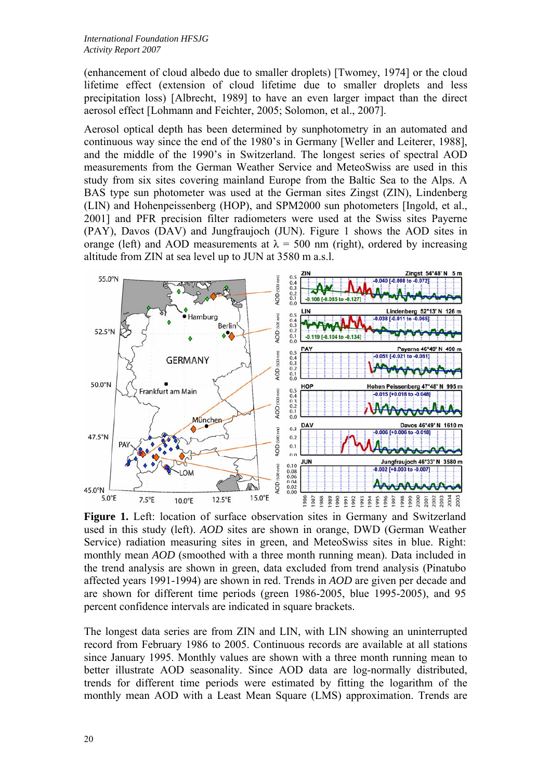(enhancement of cloud albedo due to smaller droplets) [Twomey, 1974] or the cloud lifetime effect (extension of cloud lifetime due to smaller droplets and less precipitation loss) [Albrecht, 1989] to have an even larger impact than the direct aerosol effect [Lohmann and Feichter, 2005; Solomon, et al., 2007].

Aerosol optical depth has been determined by sunphotometry in an automated and continuous way since the end of the 1980's in Germany [Weller and Leiterer, 1988], and the middle of the 1990's in Switzerland. The longest series of spectral AOD measurements from the German Weather Service and MeteoSwiss are used in this study from six sites covering mainland Europe from the Baltic Sea to the Alps. A BAS type sun photometer was used at the German sites Zingst (ZIN), Lindenberg (LIN) and Hohenpeissenberg (HOP), and SPM2000 sun photometers [Ingold, et al., 2001] and PFR precision filter radiometers were used at the Swiss sites Payerne (PAY), Davos (DAV) and Jungfraujoch (JUN). Figure 1 shows the AOD sites in orange (left) and AOD measurements at  $\lambda = 500$  nm (right), ordered by increasing altitude from ZIN at sea level up to JUN at 3580 m a.s.l.



**Figure 1.** Left: location of surface observation sites in Germany and Switzerland used in this study (left). *AOD* sites are shown in orange, DWD (German Weather Service) radiation measuring sites in green, and MeteoSwiss sites in blue. Right: monthly mean *AOD* (smoothed with a three month running mean). Data included in the trend analysis are shown in green, data excluded from trend analysis (Pinatubo affected years 1991-1994) are shown in red. Trends in *AOD* are given per decade and are shown for different time periods (green 1986-2005, blue 1995-2005), and 95 percent confidence intervals are indicated in square brackets.

The longest data series are from ZIN and LIN, with LIN showing an uninterrupted record from February 1986 to 2005. Continuous records are available at all stations since January 1995. Monthly values are shown with a three month running mean to better illustrate AOD seasonality. Since AOD data are log-normally distributed, trends for different time periods were estimated by fitting the logarithm of the monthly mean AOD with a Least Mean Square (LMS) approximation. Trends are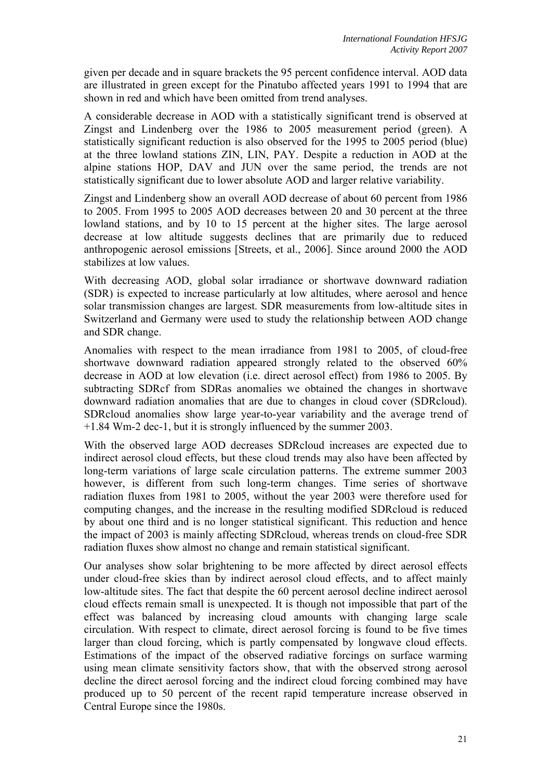given per decade and in square brackets the 95 percent confidence interval. AOD data are illustrated in green except for the Pinatubo affected years 1991 to 1994 that are shown in red and which have been omitted from trend analyses.

A considerable decrease in AOD with a statistically significant trend is observed at Zingst and Lindenberg over the 1986 to 2005 measurement period (green). A statistically significant reduction is also observed for the 1995 to 2005 period (blue) at the three lowland stations ZIN, LIN, PAY. Despite a reduction in AOD at the alpine stations HOP, DAV and JUN over the same period, the trends are not statistically significant due to lower absolute AOD and larger relative variability.

Zingst and Lindenberg show an overall AOD decrease of about 60 percent from 1986 to 2005. From 1995 to 2005 AOD decreases between 20 and 30 percent at the three lowland stations, and by 10 to 15 percent at the higher sites. The large aerosol decrease at low altitude suggests declines that are primarily due to reduced anthropogenic aerosol emissions [Streets, et al., 2006]. Since around 2000 the AOD stabilizes at low values.

With decreasing AOD, global solar irradiance or shortwave downward radiation (SDR) is expected to increase particularly at low altitudes, where aerosol and hence solar transmission changes are largest. SDR measurements from low-altitude sites in Switzerland and Germany were used to study the relationship between AOD change and SDR change.

Anomalies with respect to the mean irradiance from 1981 to 2005, of cloud-free shortwave downward radiation appeared strongly related to the observed 60% decrease in AOD at low elevation (i.e. direct aerosol effect) from 1986 to 2005. By subtracting SDRcf from SDRas anomalies we obtained the changes in shortwave downward radiation anomalies that are due to changes in cloud cover (SDRcloud). SDRcloud anomalies show large year-to-year variability and the average trend of +1.84 Wm-2 dec-1, but it is strongly influenced by the summer 2003.

With the observed large AOD decreases SDRcloud increases are expected due to indirect aerosol cloud effects, but these cloud trends may also have been affected by long-term variations of large scale circulation patterns. The extreme summer 2003 however, is different from such long-term changes. Time series of shortwave radiation fluxes from 1981 to 2005, without the year 2003 were therefore used for computing changes, and the increase in the resulting modified SDRcloud is reduced by about one third and is no longer statistical significant. This reduction and hence the impact of 2003 is mainly affecting SDRcloud, whereas trends on cloud-free SDR radiation fluxes show almost no change and remain statistical significant.

Our analyses show solar brightening to be more affected by direct aerosol effects under cloud-free skies than by indirect aerosol cloud effects, and to affect mainly low-altitude sites. The fact that despite the 60 percent aerosol decline indirect aerosol cloud effects remain small is unexpected. It is though not impossible that part of the effect was balanced by increasing cloud amounts with changing large scale circulation. With respect to climate, direct aerosol forcing is found to be five times larger than cloud forcing, which is partly compensated by longwave cloud effects. Estimations of the impact of the observed radiative forcings on surface warming using mean climate sensitivity factors show, that with the observed strong aerosol decline the direct aerosol forcing and the indirect cloud forcing combined may have produced up to 50 percent of the recent rapid temperature increase observed in Central Europe since the 1980s.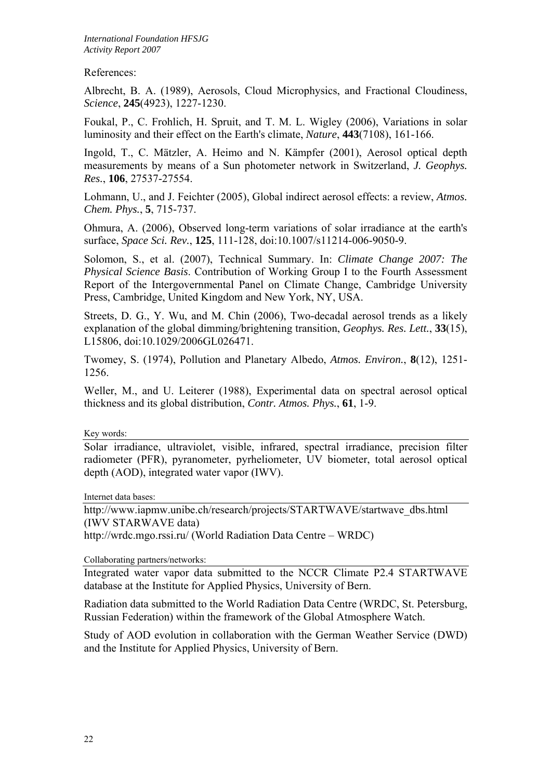*International Foundation HFSJG Activity Report 2007*

References:

Albrecht, B. A. (1989), Aerosols, Cloud Microphysics, and Fractional Cloudiness, *Science*, **245**(4923), 1227-1230.

Foukal, P., C. Frohlich, H. Spruit, and T. M. L. Wigley (2006), Variations in solar luminosity and their effect on the Earth's climate, *Nature*, **443**(7108), 161-166.

Ingold, T., C. Mätzler, A. Heimo and N. Kämpfer (2001), Aerosol optical depth measurements by means of a Sun photometer network in Switzerland, *J. Geophys. Res.*, **106**, 27537-27554.

Lohmann, U., and J. Feichter (2005), Global indirect aerosol effects: a review, *Atmos. Chem. Phys.*, **5**, 715-737.

Ohmura, A. (2006), Observed long-term variations of solar irradiance at the earth's surface, *Space Sci. Rev.*, **125**, 111-128, doi:10.1007/s11214-006-9050-9.

Solomon, S., et al. (2007), Technical Summary. In: *Climate Change 2007: The Physical Science Basis*. Contribution of Working Group I to the Fourth Assessment Report of the Intergovernmental Panel on Climate Change, Cambridge University Press, Cambridge, United Kingdom and New York, NY, USA.

Streets, D. G., Y. Wu, and M. Chin (2006), Two-decadal aerosol trends as a likely explanation of the global dimming/brightening transition, *Geophys. Res. Lett.*, **33**(15), L15806, doi:10.1029/2006GL026471.

Twomey, S. (1974), Pollution and Planetary Albedo, *Atmos. Environ.*, **8**(12), 1251- 1256.

Weller, M., and U. Leiterer (1988), Experimental data on spectral aerosol optical thickness and its global distribution, *Contr. Atmos. Phys.*, **61**, 1-9.

Key words:

Solar irradiance, ultraviolet, visible, infrared, spectral irradiance, precision filter radiometer (PFR), pyranometer, pyrheliometer, UV biometer, total aerosol optical depth (AOD), integrated water vapor (IWV).

Internet data bases:

http://www.iapmw.unibe.ch/research/projects/STARTWAVE/startwave\_dbs.html (IWV STARWAVE data) http://wrdc.mgo.rssi.ru/ (World Radiation Data Centre – WRDC)

Collaborating partners/networks:

Integrated water vapor data submitted to the NCCR Climate P2.4 STARTWAVE database at the Institute for Applied Physics, University of Bern.

Radiation data submitted to the World Radiation Data Centre (WRDC, St. Petersburg, Russian Federation) within the framework of the Global Atmosphere Watch.

Study of AOD evolution in collaboration with the German Weather Service (DWD) and the Institute for Applied Physics, University of Bern.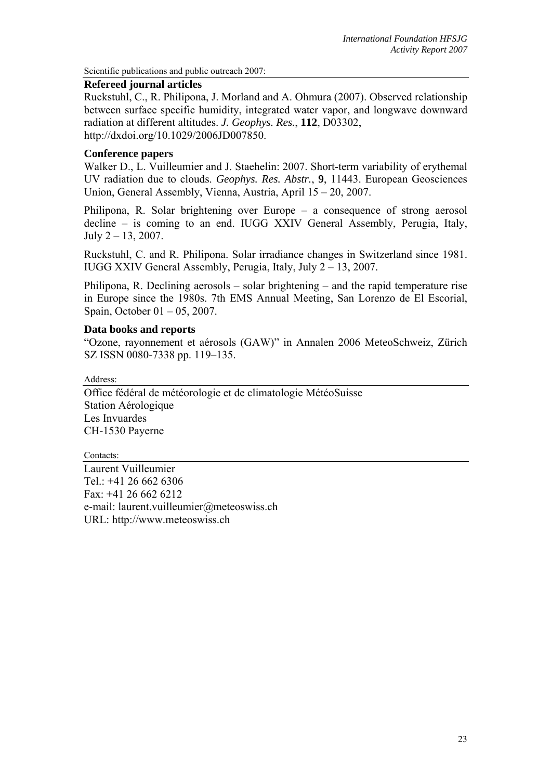Scientific publications and public outreach 2007:

## **Refereed journal articles**

Ruckstuhl, C., R. Philipona, J. Morland and A. Ohmura (2007). Observed relationship between surface specific humidity, integrated water vapor, and longwave downward radiation at different altitudes. *J. Geophys. Res.*, **112**, D03302, http://dxdoi.org/10.1029/2006JD007850.

## **Conference papers**

Walker D., L. Vuilleumier and J. Staehelin: 2007. Short-term variability of erythemal UV radiation due to clouds. *Geophys. Res. Abstr.*, **9**, 11443. European Geosciences Union, General Assembly, Vienna, Austria, April 15 – 20, 2007.

Philipona, R. Solar brightening over Europe – a consequence of strong aerosol decline – is coming to an end. IUGG XXIV General Assembly, Perugia, Italy, July  $2 - 13$ , 2007.

Ruckstuhl, C. and R. Philipona. Solar irradiance changes in Switzerland since 1981. IUGG XXIV General Assembly, Perugia, Italy, July 2 – 13, 2007.

Philipona, R. Declining aerosols – solar brightening – and the rapid temperature rise in Europe since the 1980s. 7th EMS Annual Meeting, San Lorenzo de El Escorial, Spain, October 01 – 05, 2007.

## **Data books and reports**

"Ozone, rayonnement et aérosols (GAW)" in Annalen 2006 MeteoSchweiz, Zürich SZ ISSN 0080-7338 pp. 119–135.

Address:

Office fédéral de météorologie et de climatologie MétéoSuisse Station Aérologique Les Invuardes CH-1530 Payerne

Contacts:

Laurent Vuilleumier Tel.: +41 26 662 6306 Fax: +41 26 662 6212 e-mail: laurent.vuilleumier@meteoswiss.ch URL: http://www.meteoswiss.ch